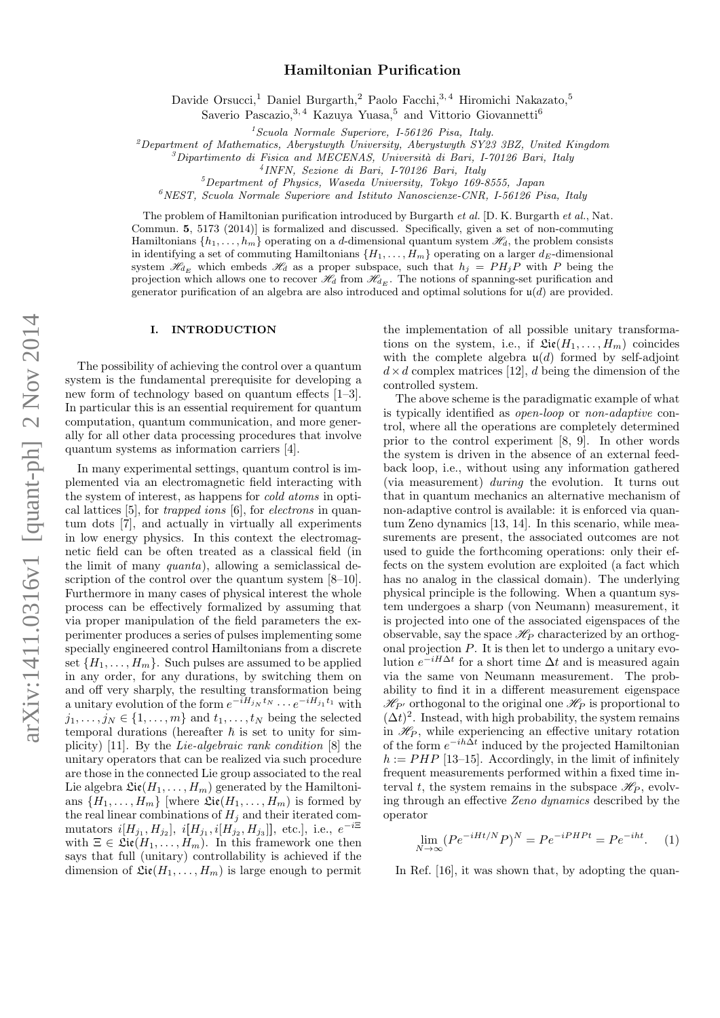# Hamiltonian Purification

Davide Orsucci,<sup>1</sup> Daniel Burgarth,<sup>2</sup> Paolo Facchi,<sup>3,4</sup> Hiromichi Nakazato,<sup>5</sup>

Saverio Pascazio, 3,4 Kazuya Yuasa, 5 and Vittorio Giovannetti<sup>6</sup>

 $1$ Scuola Normale Superiore, I-56126 Pisa, Italy.

 $2D$ epartment of Mathematics, Aberystwyth University, Aberystwyth SY23 3BZ, United Kingdom

 $3$ Dipartimento di Fisica and MECENAS, Università di Bari, I-70126 Bari, Italy

4 INFN, Sezione di Bari, I-70126 Bari, Italy

 $5$ Department of Physics, Waseda University, Tokyo 169-8555, Japan

 $6$ NEST, Scuola Normale Superiore and Istituto Nanoscienze-CNR, I-56126 Pisa, Italy

The problem of Hamiltonian purification introduced by Burgarth et al. [D. K. Burgarth et al., Nat. Commun. 5, 5173 (2014)] is formalized and discussed. Specifically, given a set of non-commuting Hamiltonians  $\{h_1, \ldots, h_m\}$  operating on a d-dimensional quantum system  $\mathcal{H}_d$ , the problem consists in identifying a set of commuting Hamiltonians  $\{H_1, \ldots, H_m\}$  operating on a larger  $d_E$ -dimensional system  $\mathcal{H}_{d_E}$  which embeds  $\mathcal{H}_d$  as a proper subspace, such that  $h_j = PH_jP$  with P being the projection which allows one to recover  $\mathcal{H}_d$  from  $\mathcal{H}_{d_E}$ . The notions of spanning-set purification and generator purification of an algebra are also introduced and optimal solutions for  $\mathfrak{u}(d)$  are provided.

### I. INTRODUCTION

The possibility of achieving the control over a quantum system is the fundamental prerequisite for developing a new form of technology based on quantum effects [1–3]. In particular this is an essential requirement for quantum computation, quantum communication, and more generally for all other data processing procedures that involve quantum systems as information carriers [4].

In many experimental settings, quantum control is implemented via an electromagnetic field interacting with the system of interest, as happens for cold atoms in optical lattices [5], for trapped ions [6], for electrons in quantum dots [7], and actually in virtually all experiments in low energy physics. In this context the electromagnetic field can be often treated as a classical field (in the limit of many quanta), allowing a semiclassical description of the control over the quantum system  $[8-10]$ . Furthermore in many cases of physical interest the whole process can be effectively formalized by assuming that via proper manipulation of the field parameters the experimenter produces a series of pulses implementing some specially engineered control Hamiltonians from a discrete set  $\{H_1, \ldots, H_m\}$ . Such pulses are assumed to be applied in any order, for any durations, by switching them on and off very sharply, the resulting transformation being a unitary evolution of the form  $e^{-iH_{j_N}t_N} \cdots e^{-iH_{j_1}t_1}$  with  $j_1, \ldots, j_N \in \{1, \ldots, m\}$  and  $t_1, \ldots, t_N$  being the selected temporal durations (hereafter  $\hbar$  is set to unity for simplicity) [11]. By the Lie-algebraic rank condition [8] the unitary operators that can be realized via such procedure are those in the connected Lie group associated to the real Lie algebra  $\mathfrak{Lie}(H_1, \ldots, H_m)$  generated by the Hamiltonians  $\{H_1, \ldots, H_m\}$  where  $\mathfrak{Lie}(H_1, \ldots, H_m)$  is formed by the real linear combinations of  $H_i$  and their iterated commutators  $i[H_{j_1}, H_{j_2}], i[H_{j_1}, i[H_{j_2}, H_{j_3}]],$  etc.], i.e.,  $e^{-i\Xi}$ with  $\Xi \in \mathfrak{Lie}(H_1, \ldots, H_m)$ . In this framework one then says that full (unitary) controllability is achieved if the dimension of  $\mathfrak{Lie}(H_1, \ldots, H_m)$  is large enough to permit

the implementation of all possible unitary transformations on the system, i.e., if  $\mathfrak{Lie}(H_1,\ldots,H_m)$  coincides with the complete algebra  $\mathfrak{u}(d)$  formed by self-adjoint  $d \times d$  complex matrices [12], d being the dimension of the controlled system.

The above scheme is the paradigmatic example of what is typically identified as open-loop or non-adaptive control, where all the operations are completely determined prior to the control experiment [8, 9]. In other words the system is driven in the absence of an external feedback loop, i.e., without using any information gathered (via measurement) during the evolution. It turns out that in quantum mechanics an alternative mechanism of non-adaptive control is available: it is enforced via quantum Zeno dynamics [13, 14]. In this scenario, while measurements are present, the associated outcomes are not used to guide the forthcoming operations: only their effects on the system evolution are exploited (a fact which has no analog in the classical domain). The underlying physical principle is the following. When a quantum system undergoes a sharp (von Neumann) measurement, it is projected into one of the associated eigenspaces of the observable, say the space  $\mathcal{H}_P$  characterized by an orthogonal projection  $P$ . It is then let to undergo a unitary evolution  $e^{-iH\Delta t}$  for a short time  $\Delta t$  and is measured again via the same von Neumann measurement. The probability to find it in a different measurement eigenspace  $\mathscr{H}_{P'}$  orthogonal to the original one  $\mathscr{H}_P$  is proportional to  $(\Delta t)^2$ . Instead, with high probability, the system remains in  $\mathcal{H}_P$ , while experiencing an effective unitary rotation of the form  $e^{-ih\Delta t}$  induced by the projected Hamiltonian  $h := PHP$  [13-15]. Accordingly, in the limit of infinitely frequent measurements performed within a fixed time interval t, the system remains in the subspace  $\mathcal{H}_P$ , evolving through an effective Zeno dynamics described by the operator

$$
\lim_{N \to \infty} (P e^{-iHt/N} P)^N = P e^{-iP H P t} = P e^{-iht}.
$$
 (1)

In Ref. [16], it was shown that, by adopting the quan-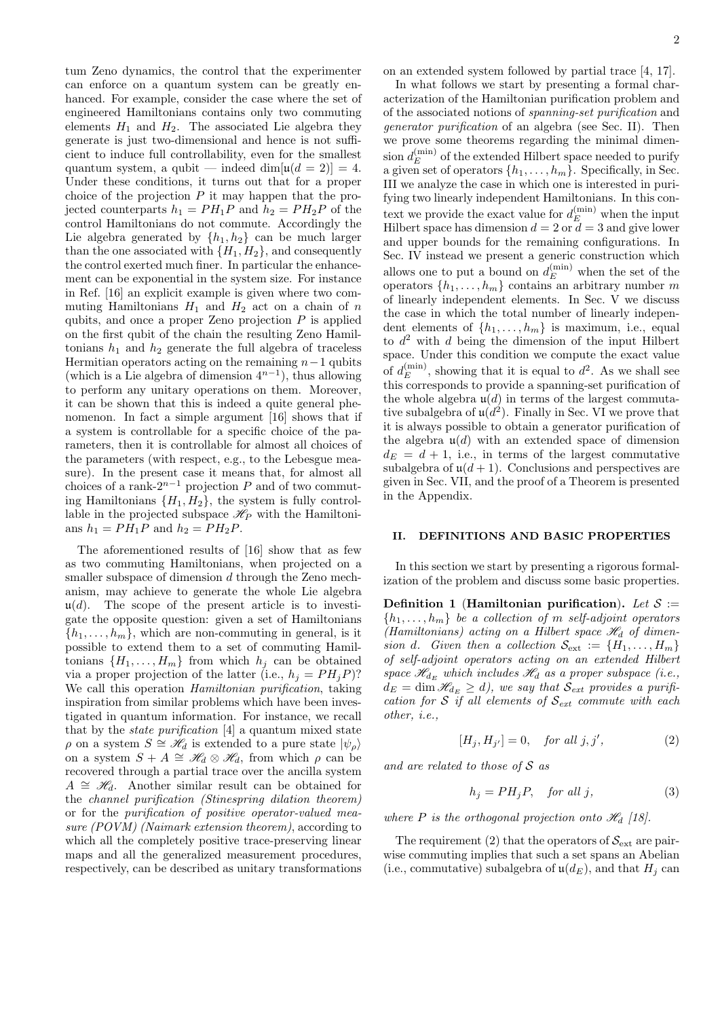tum Zeno dynamics, the control that the experimenter can enforce on a quantum system can be greatly enhanced. For example, consider the case where the set of engineered Hamiltonians contains only two commuting elements  $H_1$  and  $H_2$ . The associated Lie algebra they generate is just two-dimensional and hence is not sufficient to induce full controllability, even for the smallest quantum system, a qubit — indeed dim $[\mathfrak{u}(d = 2)] = 4$ . Under these conditions, it turns out that for a proper choice of the projection  $P$  it may happen that the projected counterparts  $h_1 = PH_1P$  and  $h_2 = PH_2P$  of the control Hamiltonians do not commute. Accordingly the Lie algebra generated by  $\{h_1, h_2\}$  can be much larger than the one associated with  $\{H_1, H_2\}$ , and consequently the control exerted much finer. In particular the enhancement can be exponential in the system size. For instance in Ref. [16] an explicit example is given where two commuting Hamiltonians  $H_1$  and  $H_2$  act on a chain of n qubits, and once a proper Zeno projection  $P$  is applied on the first qubit of the chain the resulting Zeno Hamiltonians  $h_1$  and  $h_2$  generate the full algebra of traceless Hermitian operators acting on the remaining  $n-1$  qubits (which is a Lie algebra of dimension  $4^{n-1}$ ), thus allowing to perform any unitary operations on them. Moreover, it can be shown that this is indeed a quite general phenomenon. In fact a simple argument [16] shows that if a system is controllable for a specific choice of the parameters, then it is controllable for almost all choices of the parameters (with respect, e.g., to the Lebesgue measure). In the present case it means that, for almost all choices of a rank- $2^{n-1}$  projection P and of two commuting Hamiltonians  $\{H_1, H_2\}$ , the system is fully controllable in the projected subspace  $\mathcal{H}_P$  with the Hamiltonians  $h_1 = PH_1P$  and  $h_2 = PH_2P$ .

The aforementioned results of [16] show that as few as two commuting Hamiltonians, when projected on a smaller subspace of dimension d through the Zeno mechanism, may achieve to generate the whole Lie algebra  $u(d)$ . The scope of the present article is to investigate the opposite question: given a set of Hamiltonians  $\{h_1, \ldots, h_m\}$ , which are non-commuting in general, is it possible to extend them to a set of commuting Hamiltonians  $\{H_1, \ldots, H_m\}$  from which  $h_i$  can be obtained via a proper projection of the latter (i.e.,  $h_j = PH_jP$ )? We call this operation *Hamiltonian purification*, taking inspiration from similar problems which have been investigated in quantum information. For instance, we recall that by the state purification [4] a quantum mixed state  $ρ$  on a system  $S \cong \mathcal{H}_d$  is extended to a pure state  $|\psi_ρ\rangle$ on a system  $S + A \cong \mathcal{H}_d \otimes \mathcal{H}_d$ , from which  $\rho$  can be recovered through a partial trace over the ancilla system  $A \cong \mathcal{H}_d$ . Another similar result can be obtained for the channel purification (Stinespring dilation theorem) or for the purification of positive operator-valued measure (POVM) (Naimark extension theorem), according to which all the completely positive trace-preserving linear maps and all the generalized measurement procedures, respectively, can be described as unitary transformations

on an extended system followed by partial trace [4, 17].

In what follows we start by presenting a formal characterization of the Hamiltonian purification problem and of the associated notions of spanning-set purification and generator purification of an algebra (see Sec. II). Then we prove some theorems regarding the minimal dimension  $d_E^{\text{(min)}}$  $E_E^{(\text{min})}$  of the extended Hilbert space needed to purify a given set of operators  $\{h_1, \ldots, h_m\}$ . Specifically, in Sec. III we analyze the case in which one is interested in purifying two linearly independent Hamiltonians. In this context we provide the exact value for  $d_E^{(\min)}$  when the input Hilbert space has dimension  $d = 2$  or  $d = 3$  and give lower and upper bounds for the remaining configurations. In Sec. IV instead we present a generic construction which allows one to put a bound on  $d_E^{\text{(min)}}$  when the set of the operators  $\{h_1, \ldots, h_m\}$  contains an arbitrary number m of linearly independent elements. In Sec. V we discuss the case in which the total number of linearly independent elements of  $\{h_1, \ldots, h_m\}$  is maximum, i.e., equal to  $d^2$  with d being the dimension of the input Hilbert space. Under this condition we compute the exact value of  $d_E^{\text{(min)}}$  $E_E^{\text{(min)}}$ , showing that it is equal to  $d^2$ . As we shall see this corresponds to provide a spanning-set purification of the whole algebra  $\mathfrak{u}(d)$  in terms of the largest commutative subalgebra of  $\mathfrak{u}(d^2)$ . Finally in Sec. VI we prove that it is always possible to obtain a generator purification of the algebra  $\mathfrak{u}(d)$  with an extended space of dimension  $d_E = d + 1$ , i.e., in terms of the largest commutative subalgebra of  $\mathfrak{u}(d+1)$ . Conclusions and perspectives are given in Sec. VII, and the proof of a Theorem is presented in the Appendix.

## II. DEFINITIONS AND BASIC PROPERTIES

In this section we start by presenting a rigorous formalization of the problem and discuss some basic properties.

Definition 1 (Hamiltonian purification). Let  $S :=$  ${h_1, \ldots, h_m}$  be a collection of m self-adjoint operators (Hamiltonians) acting on a Hilbert space  $\mathcal{H}_d$  of dimension d. Given then a collection  $\mathcal{S}_{ext} := \{H_1, \ldots, H_m\}$ of self-adjoint operators acting on an extended Hilbert space  $\mathcal{H}_{d_E}$  which includes  $\mathcal{H}_d$  as a proper subspace (i.e.,  $d_E = \dim \mathcal{H}_{d_E} \ge d$ , we say that  $\mathcal{S}_{ext}$  provides a purification for S if all elements of  $S_{ext}$  commute with each other, i.e.,

$$
[H_j, H_{j'}] = 0, \quad \text{for all } j, j', \tag{2}
$$

and are related to those of  $S$  as

$$
h_j = PH_jP, \quad \text{for all } j,\tag{3}
$$

where P is the orthogonal projection onto  $\mathcal{H}_d$  [18].

The requirement (2) that the operators of  $\mathcal{S}_{\text{ext}}$  are pairwise commuting implies that such a set spans an Abelian (i.e., commutative) subalgebra of  $\mathfrak{u}(d_E)$ , and that  $H_i$  can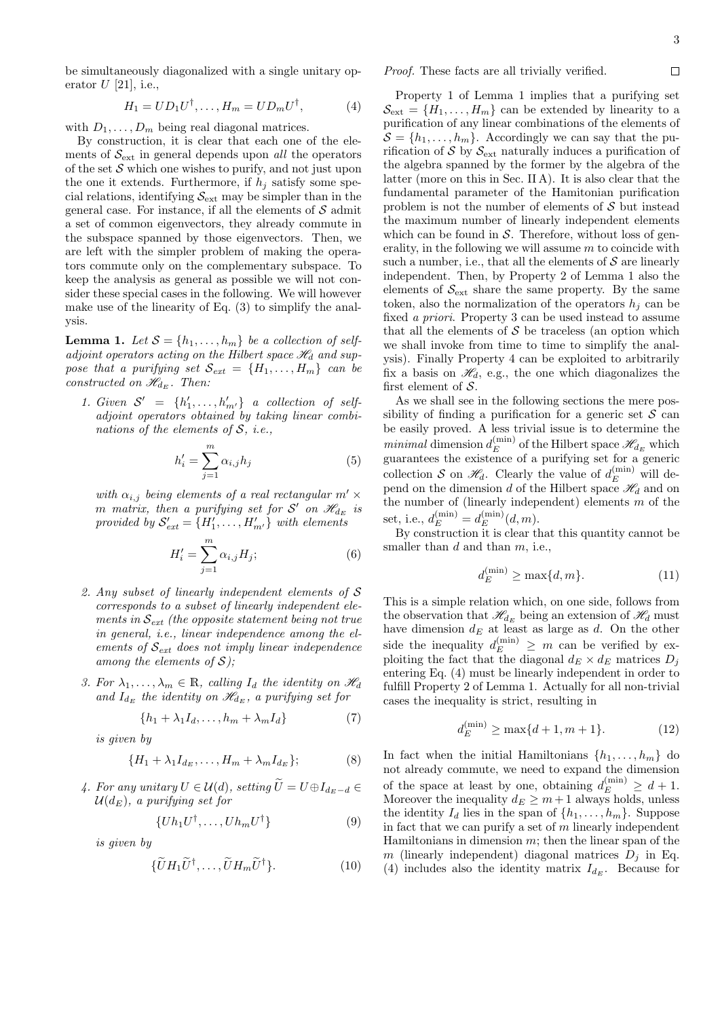be simultaneously diagonalized with a single unitary operator  $U$  [21], i.e.,

$$
H_1 = U D_1 U^{\dagger}, \dots, H_m = U D_m U^{\dagger}, \tag{4}
$$

with  $D_1, \ldots, D_m$  being real diagonal matrices.

By construction, it is clear that each one of the elements of  $\mathcal{S}_{ext}$  in general depends upon *all* the operators of the set  $S$  which one wishes to purify, and not just upon the one it extends. Furthermore, if  $h_i$  satisfy some special relations, identifying  $S_{\text{ext}}$  may be simpler than in the general case. For instance, if all the elements of  $S$  admit a set of common eigenvectors, they already commute in the subspace spanned by those eigenvectors. Then, we are left with the simpler problem of making the operators commute only on the complementary subspace. To keep the analysis as general as possible we will not consider these special cases in the following. We will however make use of the linearity of Eq. (3) to simplify the analysis.

**Lemma 1.** Let  $S = \{h_1, \ldots, h_m\}$  be a collection of selfadjoint operators acting on the Hilbert space  $\mathcal{H}_d$  and suppose that a purifying set  $\mathcal{S}_{ext} = \{H_1, \ldots, H_m\}$  can be constructed on  $\mathcal{H}_{d_E}$ . Then:

1. Given  $S' = \{h'_1, \ldots, h'_{m'}\}$  a collection of selfadjoint operators obtained by taking linear combinations of the elements of  $S$ , *i.e.*,

$$
h_i' = \sum_{j=1}^{m} \alpha_{i,j} h_j \tag{5}
$$

with  $\alpha_{i,j}$  being elements of a real rectangular  $m' \times$  $m$  matrix, then a purifying set for  $\mathcal{S}'$  on  $\mathscr{H}_{d_E}$  is provided by  $S'_{ext} = \{H'_1, \ldots, H'_{m'}\}$  with elements

$$
H_i' = \sum_{j=1}^{m} \alpha_{i,j} H_j; \tag{6}
$$

- 2. Any subset of linearly independent elements of S corresponds to a subset of linearly independent elements in  $\mathcal{S}_{ext}$  (the opposite statement being not true in general, i.e., linear independence among the elements of  $\mathcal{S}_{ext}$  does not imply linear independence among the elements of  $S$ );
- 3. For  $\lambda_1, \ldots, \lambda_m \in \mathbb{R}$ , calling  $I_d$  the identity on  $\mathcal{H}_d$ and  $I_{d_E}$  the identity on  $\mathcal{H}_{d_E}$ , a purifying set for

$$
\{h_1 + \lambda_1 I_d, \dots, h_m + \lambda_m I_d\} \tag{7}
$$

is given by

$$
\{H_1 + \lambda_1 I_{d_E}, \dots, H_m + \lambda_m I_{d_E}\};\tag{8}
$$

4. For any unitary  $U \in \mathcal{U}(d)$ , setting  $\widetilde{U} = U \oplus I_{d_F-d} \in$  $U(d_E)$ , a purifying set for

$$
\{Uh_1U^{\dagger},\ldots,Uh_mU^{\dagger}\}\tag{9}
$$

is given by

$$
\{\widetilde{U}H_1\widetilde{U}^{\dagger},\ldots,\widetilde{U}H_m\widetilde{U}^{\dagger}\}.
$$
 (10)

Proof. These facts are all trivially verified.

3

 $\Box$ 

Property 1 of Lemma 1 implies that a purifying set  $\mathcal{S}_{ext} = \{H_1, \ldots, H_m\}$  can be extended by linearity to a purification of any linear combinations of the elements of  $\mathcal{S} = \{h_1, \ldots, h_m\}$ . Accordingly we can say that the purification of  $S$  by  $S_{\text{ext}}$  naturally induces a purification of the algebra spanned by the former by the algebra of the latter (more on this in Sec. II A). It is also clear that the fundamental parameter of the Hamitonian purification problem is not the number of elements of  $\mathcal S$  but instead the maximum number of linearly independent elements which can be found in  $S$ . Therefore, without loss of generality, in the following we will assume  $m$  to coincide with such a number, i.e., that all the elements of  $S$  are linearly independent. Then, by Property 2 of Lemma 1 also the elements of  $\mathcal{S}_{ext}$  share the same property. By the same token, also the normalization of the operators  $h_j$  can be fixed a priori. Property 3 can be used instead to assume that all the elements of  $S$  be traceless (an option which we shall invoke from time to time to simplify the analysis). Finally Property 4 can be exploited to arbitrarily fix a basis on  $\mathcal{H}_d$ , e.g., the one which diagonalizes the first element of  $S$ .

As we shall see in the following sections the mere possibility of finding a purification for a generic set  $S$  can be easily proved. A less trivial issue is to determine the *minimal* dimension  $d_E^{\text{(min)}}$  $E_E^{(\text{min})}$  of the Hilbert space  $\mathscr{H}_{d_E}$  which guarantees the existence of a purifying set for a generic collection S on  $\mathcal{H}_d$ . Clearly the value of  $d_E^{\text{(min)}}$  will depend on the dimension d of the Hilbert space  $\mathcal{H}_d$  and on the number of (linearly independent) elements  $m$  of the set, i.e.,  $d_E^{\text{(min)}} = d_E^{\text{(min)}}$  $E^{(\text{min})}(d,m).$ 

By construction it is clear that this quantity cannot be smaller than  $d$  and than  $m$ , i.e.,

$$
d_E^{(\min)} \ge \max\{d, m\}.\tag{11}
$$

This is a simple relation which, on one side, follows from the observation that  $\mathcal{H}_{d_E}$  being an extension of  $\mathcal{H}_d$  must have dimension  $d_E$  at least as large as d. On the other side the inequality  $d_E^{(\min)} \geq m$  can be verified by exploiting the fact that the diagonal  $d_E \times d_E$  matrices  $D_i$ entering Eq. (4) must be linearly independent in order to fulfill Property 2 of Lemma 1. Actually for all non-trivial cases the inequality is strict, resulting in

$$
d_E^{(\min)} \ge \max\{d+1, m+1\}.\tag{12}
$$

In fact when the initial Hamiltonians  $\{h_1, \ldots, h_m\}$  do not already commute, we need to expand the dimension of the space at least by one, obtaining  $d_E^{(\min)} \geq d+1$ . Moreover the inequality  $d_E \geq m+1$  always holds, unless the identity  $I_d$  lies in the span of  $\{h_1, \ldots, h_m\}$ . Suppose in fact that we can purify a set of  $m$  linearly independent Hamiltonians in dimension  $m$ ; then the linear span of the m (linearly independent) diagonal matrices  $D_i$  in Eq. (4) includes also the identity matrix  $I_{d_E}$ . Because for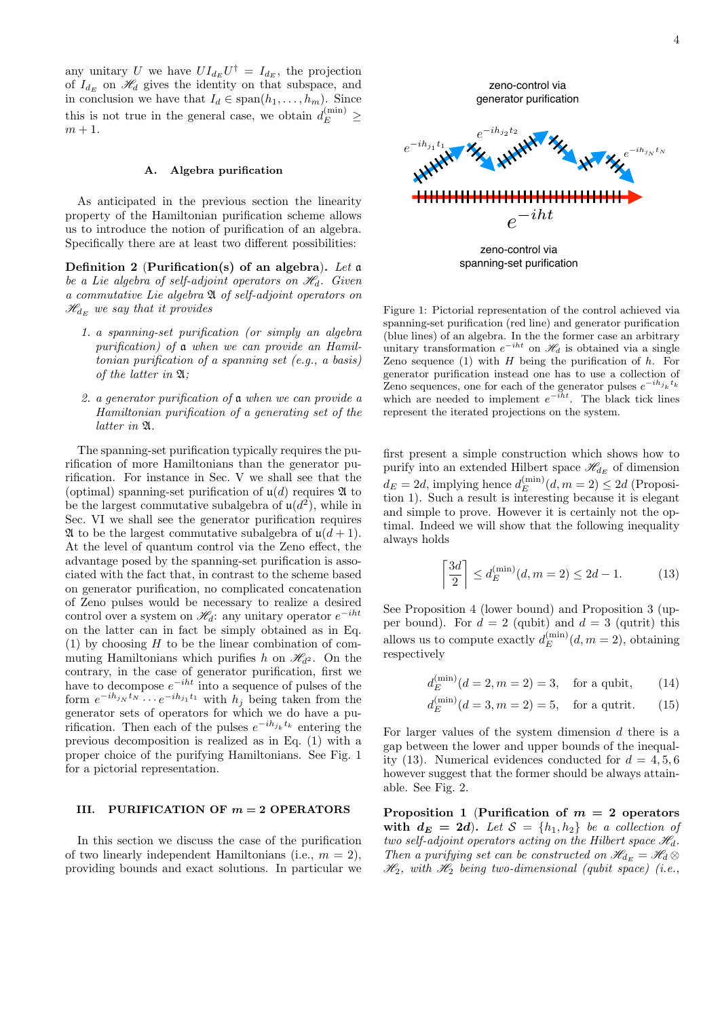any unitary U we have  $UI_{d_E}U^{\dagger} = I_{d_E}$ , the projection of  $I_{d_E}$  on  $\mathcal{H}_d$  gives the identity on that subspace, and in conclusion we have that  $I_d \in \text{span}(h_1, \ldots, h_m)$ . Since this is not true in the general case, we obtain  $d_E^{(\min)} \geq$  $m+1$ .

### A. Algebra purification

As anticipated in the previous section the linearity property of the Hamiltonian purification scheme allows us to introduce the notion of purification of an algebra. Specifically there are at least two different possibilities:

Definition 2 (Purification(s) of an algebra). Let a be a Lie algebra of self-adjoint operators on  $\mathcal{H}_d$ . Given a commutative Lie algebra A of self-adjoint operators on  $\mathcal{H}_{d_E}$  we say that it provides

- 1. a spanning-set purification (or simply an algebra purification) of a when we can provide an Hamiltonian purification of a spanning set (e.g., a basis) of the latter in  $\mathfrak{A}$ ;
- 2. a generator purification of a when we can provide a Hamiltonian purification of a generating set of the latter in  $\mathfrak{A}$ .

The spanning-set purification typically requires the purification of more Hamiltonians than the generator purification. For instance in Sec. V we shall see that the (optimal) spanning-set purification of  $\mathfrak{u}(d)$  requires  $\mathfrak A$  to be the largest commutative subalgebra of  $\mathfrak{u}(d^2)$ , while in Sec. VI we shall see the generator purification requires  $\mathfrak A$  to be the largest commutative subalgebra of  $\mathfrak u(d+1)$ . At the level of quantum control via the Zeno effect, the advantage posed by the spanning-set purification is associated with the fact that, in contrast to the scheme based on generator purification, no complicated concatenation of Zeno pulses would be necessary to realize a desired control over a system on  $\mathcal{H}_d$ : any unitary operator  $e^{-iht}$ on the latter can in fact be simply obtained as in Eq. (1) by choosing  $H$  to be the linear combination of commuting Hamiltonians which purifies h on  $\mathcal{H}_{d^2}$ . On the contrary, in the case of generator purification, first we have to decompose  $e^{-iht}$  into a sequence of pulses of the form  $e^{-ih_{j_N}t_N} \cdots e^{-ih_{j_1}t_1}$  with  $h_j$  being taken from the generator sets of operators for which we do have a purification. Then each of the pulses  $e^{-ih_{j_k}t_k}$  entering the previous decomposition is realized as in Eq. (1) with a proper choice of the purifying Hamiltonians. See Fig. 1 for a pictorial representation.

#### III. PURIFICATION OF  $m = 2$  OPERATORS

In this section we discuss the case of the purification of two linearly independent Hamiltonians (i.e.,  $m = 2$ ), providing bounds and exact solutions. In particular we



spanning-set purification

Figure 1: Pictorial representation of the control achieved via spanning-set purification (red line) and generator purification (blue lines) of an algebra. In the the former case an arbitrary unitary transformation  $e^{-iht}$  on  $\mathcal{H}_d$  is obtained via a single Zeno sequence  $(1)$  with H being the purification of h. For generator purification instead one has to use a collection of Zeno sequences, one for each of the generator pulses  $e^{-ih_{j_k}t_k}$ which are needed to implement  $e^{-iht}$ . The black tick lines represent the iterated projections on the system.

first present a simple construction which shows how to purify into an extended Hilbert space  $\mathcal{H}_{d_E}$  of dimension  $d_E = 2d$ , implying hence  $d_E^{\text{(min)}}$  $E_E^{(\text{min})}(d, m = 2) \leq 2d$  (Proposition 1). Such a result is interesting because it is elegant and simple to prove. However it is certainly not the optimal. Indeed we will show that the following inequality always holds

$$
\left\lceil \frac{3d}{2} \right\rceil \le d_E^{(\min)}(d, m = 2) \le 2d - 1. \tag{13}
$$

See Proposition 4 (lower bound) and Proposition 3 (upper bound). For  $d = 2$  (qubit) and  $d = 3$  (qutrit) this allows us to compute exactly  $d_E^{\text{(min)}}$  $E_E^{(\text{min})}(d, m = 2)$ , obtaining respectively

$$
d_E^{(\min)}(d=2, m=2) = 3, \text{ for a qubit}, \text{(14)}
$$

$$
d_E^{(\min)}(d=3, m=2) = 5, \text{ for a qutrit.} (15)
$$

For larger values of the system dimension  $d$  there is a gap between the lower and upper bounds of the inequality (13). Numerical evidences conducted for  $d = 4, 5, 6$ however suggest that the former should be always attainable. See Fig. 2.

Proposition 1 (Purification of  $m = 2$  operators with  $d_E = 2d$ . Let  $S = \{h_1, h_2\}$  be a collection of two self-adjoint operators acting on the Hilbert space  $\mathcal{H}_d$ . Then a purifying set can be constructed on  $\mathscr{H}_{d_E} = \mathscr{H}_d \otimes$  $\mathcal{H}_2$ , with  $\mathcal{H}_2$  being two-dimensional (qubit space) (i.e.,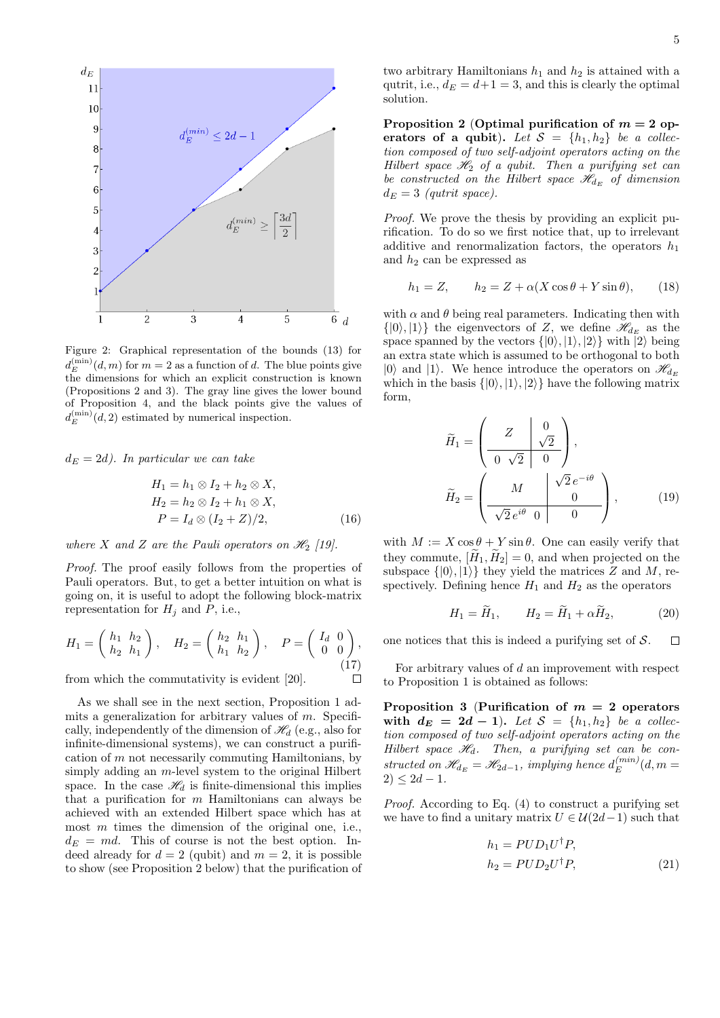

Figure 2: Graphical representation of the bounds (13) for  $d_E^{(\text{min})}(d,m)$  for  $m=2$  as a function of d. The blue points give the dimensions for which an explicit construction is known (Propositions 2 and 3). The gray line gives the lower bound of Proposition 4, and the black points give the values of  $d_E^{(\text{min})}(d, 2)$  estimated by numerical inspection.

 $d_E = 2d$ ). In particular we can take

$$
H_1 = h_1 \otimes I_2 + h_2 \otimes X,
$$
  
\n
$$
H_2 = h_2 \otimes I_2 + h_1 \otimes X,
$$
  
\n
$$
P = I_d \otimes (I_2 + Z)/2,
$$
\n(16)

where X and Z are the Pauli operators on  $\mathcal{H}_2$  [19].

Proof. The proof easily follows from the properties of Pauli operators. But, to get a better intuition on what is going on, it is useful to adopt the following block-matrix representation for  $H_i$  and  $P$ , i.e.,

$$
H_1 = \begin{pmatrix} h_1 & h_2 \\ h_2 & h_1 \end{pmatrix}, \quad H_2 = \begin{pmatrix} h_2 & h_1 \\ h_1 & h_2 \end{pmatrix}, \quad P = \begin{pmatrix} I_d & 0 \\ 0 & 0 \end{pmatrix},
$$
  
from which the commutativity is evident [20].

from which the commutativity is evident [20].

As we shall see in the next section, Proposition 1 admits a generalization for arbitrary values of m. Specifically, independently of the dimension of  $\mathcal{H}_d$  (e.g., also for infinite-dimensional systems), we can construct a purification of  $m$  not necessarily commuting Hamiltonians, by simply adding an m-level system to the original Hilbert space. In the case  $\mathcal{H}_d$  is finite-dimensional this implies that a purification for  $m$  Hamiltonians can always be achieved with an extended Hilbert space which has at most m times the dimension of the original one, i.e.,  $d_E = md$ . This of course is not the best option. Indeed already for  $d = 2$  (qubit) and  $m = 2$ , it is possible to show (see Proposition 2 below) that the purification of

two arbitrary Hamiltonians  $h_1$  and  $h_2$  is attained with a qutrit, i.e.,  $d_E = d+1 = 3$ , and this is clearly the optimal solution.

Proposition 2 (Optimal purification of  $m = 2$  operators of a qubit). Let  $S = \{h_1, h_2\}$  be a collection composed of two self-adjoint operators acting on the Hilbert space  $\mathcal{H}_2$  of a qubit. Then a purifying set can be constructed on the Hilbert space  $\mathcal{H}_{d_E}$  of dimension  $d_E = 3$  (qutrit space).

Proof. We prove the thesis by providing an explicit purification. To do so we first notice that, up to irrelevant additive and renormalization factors, the operators  $h_1$ and  $h_2$  can be expressed as

$$
h_1 = Z, \qquad h_2 = Z + \alpha(X\cos\theta + Y\sin\theta), \qquad (18)
$$

with  $\alpha$  and  $\theta$  being real parameters. Indicating then with  $\{|0\rangle, |1\rangle\}$  the eigenvectors of Z, we define  $\mathcal{H}_{d_E}$  as the space spanned by the vectors  $\{|0\rangle, |1\rangle, |2\rangle\}$  with  $|2\rangle$  being an extra state which is assumed to be orthogonal to both  $|0\rangle$  and  $|1\rangle$ . We hence introduce the operators on  $\mathcal{H}_{d_E}$ which in the basis  $\{|0\rangle, |1\rangle, |2\rangle\}$  have the following matrix form,

$$
\widetilde{H}_1 = \begin{pmatrix} Z & 0 \\ \hline 0 & \sqrt{2} & 0 \\ 0 & \sqrt{2} & 0 \end{pmatrix},
$$
\n
$$
\widetilde{H}_2 = \begin{pmatrix} M & \sqrt{2} \, e^{-i\theta} \\ \hline \sqrt{2} \, e^{i\theta} & 0 & 0 \end{pmatrix}, \tag{19}
$$

with  $M := X \cos \theta + Y \sin \theta$ . One can easily verify that they commute,  $[\widetilde{H}_1, \widetilde{H}_2] = 0$ , and when projected on the subspace  $\{|0\rangle, |1\rangle\}$  they yield the matrices Z and M, respectively. Defining hence  $H_1$  and  $H_2$  as the operators

$$
H_1 = \widetilde{H}_1, \qquad H_2 = \widetilde{H}_1 + \alpha \widetilde{H}_2,\tag{20}
$$

one notices that this is indeed a purifying set of  $S$ .  $\Box$ 

For arbitrary values of d an improvement with respect to Proposition 1 is obtained as follows:

Proposition 3 (Purification of  $m = 2$  operators with  $d_E = 2d - 1$ ). Let  $S = \{h_1, h_2\}$  be a collection composed of two self-adjoint operators acting on the Hilbert space  $\mathcal{H}_d$ . Then, a purifying set can be constructed on  $\mathscr{H}_{d_E} = \mathscr{H}_{2d-1}$ , implying hence  $d_E^{(min)}$  $E^{(min)}(d,m=$  $2) \leq 2d - 1.$ 

Proof. According to Eq. (4) to construct a purifying set we have to find a unitary matrix  $U \in \mathcal{U}(2d-1)$  such that

$$
h_1 = PUD_1U^{\dagger}P,
$$
  
\n
$$
h_2 = PUD_2U^{\dagger}P,
$$
\n(21)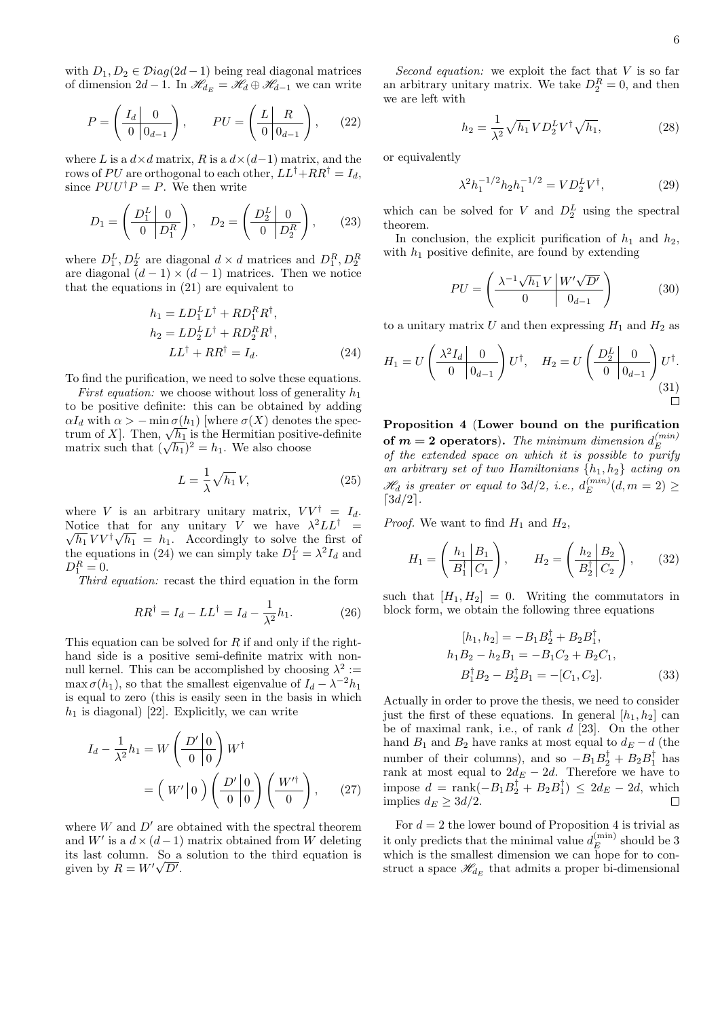with  $D_1, D_2 \in \mathcal{D}iag(2d-1)$  being real diagonal matrices of dimension 2d − 1. In  $\mathcal{H}_{d_E} = \mathcal{H}_d \oplus \mathcal{H}_{d-1}$  we can write

$$
P = \left(\begin{array}{c|c} I_d & 0\\ \hline 0 & 0_{d-1} \end{array}\right), \qquad PU = \left(\begin{array}{c|c} L & R\\ \hline 0 & 0_{d-1} \end{array}\right), \qquad (22)
$$

where L is a  $d \times d$  matrix, R is a  $d \times (d-1)$  matrix, and the rows of PU are orthogonal to each other,  $LL^{\dagger}+RR^{\dagger} = I_d$ , since  $PUU^{\dagger}P = P$ . We then write

$$
D_1 = \left(\begin{array}{c|c} D_1^L & 0 \\ \hline 0 & D_1^R \end{array}\right), \quad D_2 = \left(\begin{array}{c|c} D_2^L & 0 \\ \hline 0 & D_2^R \end{array}\right), \tag{23}
$$

where  $D_1^L, D_2^L$  are diagonal  $d \times d$  matrices and  $D_1^R, D_2^R$ are diagonal  $(d-1) \times (d-1)$  matrices. Then we notice that the equations in (21) are equivalent to

$$
h_1 = LD_1^L L^{\dagger} + RD_1^R R^{\dagger},
$$
  
\n
$$
h_2 = LD_2^L L^{\dagger} + RD_2^R R^{\dagger},
$$
  
\n
$$
LL^{\dagger} + RR^{\dagger} = I_d.
$$
 (24)

To find the purification, we need to solve these equations.

*First equation:* we choose without loss of generality  $h_1$ to be positive definite: this can be obtained by adding  $\alpha I_d$  with  $\alpha > -$  min  $\sigma(h_1)$  [where  $\sigma(X)$  denotes the spectrum of X]. Then,  $\sqrt{h_1}$  is the Hermitian positive-definite matrix such that  $(\sqrt{h_1})^2 = h_1$ . We also choose

$$
L = \frac{1}{\lambda} \sqrt{h_1} V,\tag{25}
$$

where V is an arbitrary unitary matrix,  $VV^{\dagger} = I_d$ . Notice that for any unitary V we have  $\lambda^2 LL^{\dagger} =$ bities that for any unitary v we have  $\lambda^2 L L' = \overline{h_1} V V^{\dagger} \sqrt{h_1} = h_1$ . Accordingly to solve the first of the equations in (24) we can simply take  $D_1^L = \lambda^2 I_d$  and  $D_1^R = 0.$ 

Third equation: recast the third equation in the form

$$
RR^{\dagger} = I_d - LL^{\dagger} = I_d - \frac{1}{\lambda^2} h_1.
$$
 (26)

This equation can be solved for  $R$  if and only if the righthand side is a positive semi-definite matrix with nonnull kernel. This can be accomplished by choosing  $\lambda^2$  := max  $\sigma(h_1)$ , so that the smallest eigenvalue of  $I_d - \lambda^{-2}h_1$ is equal to zero (this is easily seen in the basis in which  $h_1$  is diagonal) [22]. Explicitly, we can write

$$
I_d - \frac{1}{\lambda^2} h_1 = W \left( \frac{D' \mid 0}{0 \mid 0} \right) W^{\dagger}
$$
  
= 
$$
\left( W' \mid 0 \right) \left( \frac{D' \mid 0}{0 \mid 0} \right) \left( \frac{W'^{\dagger}}{0} \right), \qquad (27)
$$

where  $W$  and  $D'$  are obtained with the spectral theorem and W' is a  $d \times (d-1)$  matrix obtained from W deleting its last column. So a solution to the third equation is given by  $R = W' \sqrt{D'}$ .

Second equation: we exploit the fact that  $V$  is so far an arbitrary unitary matrix. We take  $D_2^R = 0$ , and then we are left with

$$
h_2 = \frac{1}{\lambda^2} \sqrt{h_1} V D_2^L V^{\dagger} \sqrt{h_1},\tag{28}
$$

or equivalently

$$
\lambda^2 h_1^{-1/2} h_2 h_1^{-1/2} = V D_2^L V^{\dagger},\tag{29}
$$

which can be solved for V and  $D_2^L$  using the spectral theorem.

In conclusion, the explicit purification of  $h_1$  and  $h_2$ , with  $h_1$  positive definite, are found by extending

$$
PU = \left(\begin{array}{c|c}\n\lambda^{-1} \sqrt{h_1} \, V & W' \sqrt{D'} \\
\hline\n0 & 0_{d-1}\n\end{array}\right) \tag{30}
$$

to a unitary matrix U and then expressing  $H_1$  and  $H_2$  as

$$
H_1 = U\left(\frac{\lambda^2 I_d \middle| 0}{0 \middle| 0_{d-1}}\right) U^{\dagger}, \quad H_2 = U\left(\frac{D_2^L \middle| 0}{0 \middle| 0_{d-1}}\right) U^{\dagger}.
$$
\n(31)

Proposition 4 (Lower bound on the purification of  $m=2$  operators). The minimum dimension  $d_E^{(min)}$ E of the extended space on which it is possible to purify an arbitrary set of two Hamiltonians  $\{h_1, h_2\}$  acting on  $\mathscr{H}_{d}$  is greater or equal to 3d/2, i.e.,  $d_{E}^{(min)}$  $E^{(min)}_{E}(d,m=2) \geq$  $\lceil 3d/2\rceil$ .

*Proof.* We want to find  $H_1$  and  $H_2$ ,

$$
H_1 = \left(\frac{h_1 \mid B_1}{B_1^{\dagger} \mid C_1}\right), \qquad H_2 = \left(\frac{h_2 \mid B_2}{B_2^{\dagger} \mid C_2}\right), \qquad (32)
$$

such that  $[H_1, H_2] = 0$ . Writing the commutators in block form, we obtain the following three equations

$$
[h_1, h_2] = -B_1 B_2^{\dagger} + B_2 B_1^{\dagger},
$$
  
\n
$$
h_1 B_2 - h_2 B_1 = -B_1 C_2 + B_2 C_1,
$$
  
\n
$$
B_1^{\dagger} B_2 - B_2^{\dagger} B_1 = -[C_1, C_2].
$$
\n(33)

Actually in order to prove the thesis, we need to consider just the first of these equations. In general  $[h_1, h_2]$  can be of maximal rank, i.e., of rank d [23]. On the other hand  $B_1$  and  $B_2$  have ranks at most equal to  $d_E - d$  (the number of their columns), and so  $-B_1B_2^{\dagger} + B_2B_1^{\dagger}$  has rank at most equal to  $2d_E - 2d$ . Therefore we have to impose  $d = \text{rank}(-B_1B_2^{\dagger} + B_2B_1^{\dagger}) \leq 2d_E - 2d$ , which implies  $d_E > 3d/2$ .  $\Box$ 

For  $d = 2$  the lower bound of Proposition 4 is trivial as it only predicts that the minimal value  $d_E^{(\text{min})}$  $E_E^{\text{(mm)}}$  should be 3 which is the smallest dimension we can hope for to construct a space  $\mathcal{H}_{d_E}$  that admits a proper bi-dimensional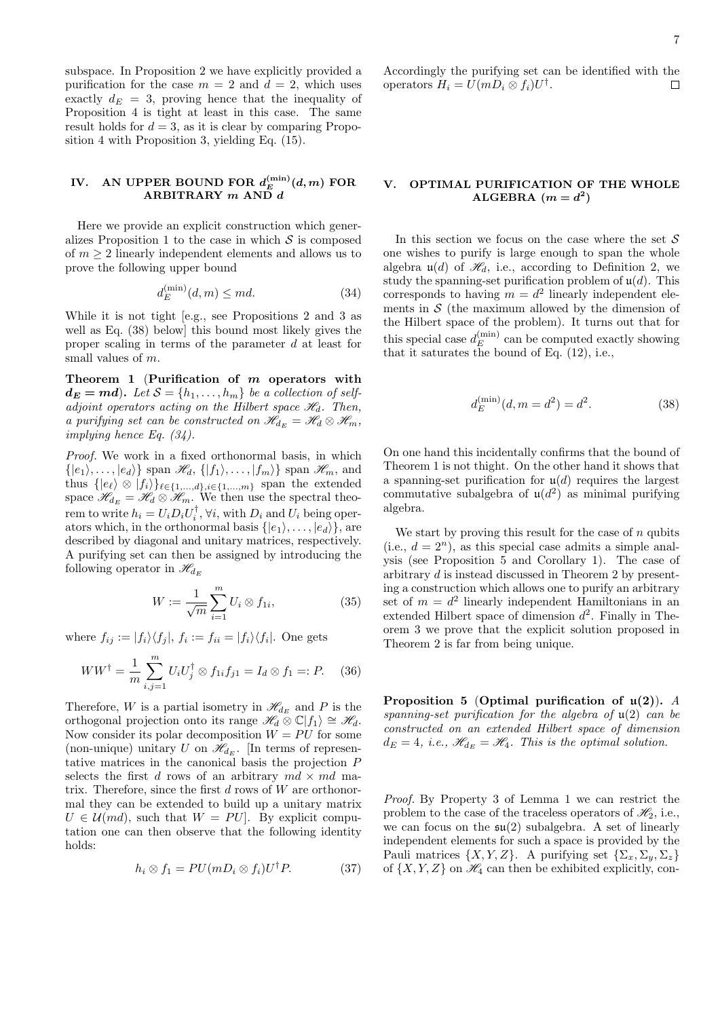subspace. In Proposition 2 we have explicitly provided a purification for the case  $m = 2$  and  $d = 2$ , which uses exactly  $d_E = 3$ , proving hence that the inequality of Proposition 4 is tight at least in this case. The same result holds for  $d = 3$ , as it is clear by comparing Proposition 4 with Proposition 3, yielding Eq. (15).

# IV. AN UPPER BOUND FOR  $d_{E}^{\text{(min)}}(d,m)$  for ARBITRARY m AND d

Here we provide an explicit construction which generalizes Proposition 1 to the case in which  $S$  is composed of  $m \geq 2$  linearly independent elements and allows us to prove the following upper bound

$$
d_E^{(\min)}(d,m) \le md. \tag{34}
$$

While it is not tight [e.g., see Propositions 2 and 3 as well as Eq. (38) below] this bound most likely gives the proper scaling in terms of the parameter d at least for small values of  $m$ .

Theorem 1 (Purification of m operators with  $d_E = md$ . Let  $S = \{h_1, \ldots, h_m\}$  be a collection of selfadjoint operators acting on the Hilbert space  $\mathcal{H}_d$ . Then, a purifying set can be constructed on  $\mathcal{H}_{d_E} = \mathcal{H}_d \otimes \mathcal{H}_m$ , implying hence Eq. (34).

Proof. We work in a fixed orthonormal basis, in which  $\{|e_1\rangle, \ldots, |e_d\rangle\}$  span  $\mathcal{H}_d$ ,  $\{|f_1\rangle, \ldots, |f_m\rangle\}$  span  $\mathcal{H}_m$ , and thus  $\{|e_{\ell}\rangle \otimes |f_i\rangle\}_{\ell \in \{1,\ldots,d\}, i \in \{1,\ldots,m\}}$  span the extended space  $\mathscr{H}_{d_E} = \mathscr{H}_d \otimes \mathscr{H}_m$ . We then use the spectral theorem to write  $h_i = U_i D_i U_i^{\dagger}$ ,  $\forall i$ , with  $D_i$  and  $U_i$  being operators which, in the orthonormal basis  $\{|e_1\rangle, \ldots, |e_d\rangle\}$ , are described by diagonal and unitary matrices, respectively. A purifying set can then be assigned by introducing the following operator in  $\mathcal{H}_{d_E}$ 

$$
W := \frac{1}{\sqrt{m}} \sum_{i=1}^{m} U_i \otimes f_{1i},
$$
 (35)

where  $f_{ij} := |f_i\rangle\langle f_j|, f_i := f_{ii} = |f_i\rangle\langle f_i|$ . One gets

$$
WW^{\dagger} = \frac{1}{m} \sum_{i,j=1}^{m} U_i U_j^{\dagger} \otimes f_{1i} f_{j1} = I_d \otimes f_1 =: P. \quad (36)
$$

Therefore, W is a partial isometry in  $\mathcal{H}_{d_E}$  and P is the orthogonal projection onto its range  $\mathscr{H}_d$  ⊗  $\mathbb{C}|f_1\rangle \cong \mathscr{H}_d$ . Now consider its polar decomposition  $W = P\ddot{U}$  for some (non-unique) unitary U on  $\mathcal{H}_{d_F}$ . [In terms of representative matrices in the canonical basis the projection P selects the first d rows of an arbitrary  $md \times md$  matrix. Therefore, since the first  $d$  rows of  $W$  are orthonormal they can be extended to build up a unitary matrix  $U \in \mathcal{U}(md)$ , such that  $W = PU$ . By explicit computation one can then observe that the following identity holds:

$$
h_i \otimes f_1 = PU(mD_i \otimes f_i)U^{\dagger}P. \tag{37}
$$

Accordingly the purifying set can be identified with the  $\Box$ operators  $H_i = U(mD_i \otimes f_i)U^{\dagger}$ .

# V. OPTIMAL PURIFICATION OF THE WHOLE ALGEBRA  $(m = d^2)$

In this section we focus on the case where the set  $S$ one wishes to purify is large enough to span the whole algebra  $\mathfrak{u}(d)$  of  $\mathcal{H}_d$ , i.e., according to Definition 2, we study the spanning-set purification problem of  $\mathfrak{u}(d)$ . This corresponds to having  $m = d^2$  linearly independent elements in  $S$  (the maximum allowed by the dimension of the Hilbert space of the problem). It turns out that for this special case  $d_E^{(\min)}$  $E_E^{\text{(mm)}}$  can be computed exactly showing that it saturates the bound of Eq.  $(12)$ , i.e.,

$$
d_E^{(\min)}(d, m = d^2) = d^2.
$$
 (38)

On one hand this incidentally confirms that the bound of Theorem 1 is not thight. On the other hand it shows that a spanning-set purification for  $\mathfrak{u}(d)$  requires the largest commutative subalgebra of  $\mathfrak{u}(d^2)$  as minimal purifying algebra.

We start by proving this result for the case of  $n$  qubits (i.e.,  $d = 2^n$ ), as this special case admits a simple analysis (see Proposition 5 and Corollary 1). The case of arbitrary d is instead discussed in Theorem 2 by presenting a construction which allows one to purify an arbitrary set of  $m = d^2$  linearly independent Hamiltonians in an extended Hilbert space of dimension  $d^2$ . Finally in Theorem 3 we prove that the explicit solution proposed in Theorem 2 is far from being unique.

Proposition 5 (Optimal purification of  $\mathfrak{u}(2)$ ). A spanning-set purification for the algebra of  $\mathfrak{u}(2)$  can be constructed on an extended Hilbert space of dimension  $d_E = 4$ , i.e.,  $\mathcal{H}_{d_E} = \mathcal{H}_4$ . This is the optimal solution.

Proof. By Property 3 of Lemma 1 we can restrict the problem to the case of the traceless operators of  $\mathcal{H}_2$ , i.e., we can focus on the  $\mathfrak{su}(2)$  subalgebra. A set of linearly independent elements for such a space is provided by the Pauli matrices  $\{X, Y, Z\}$ . A purifying set  $\{\Sigma_x, \Sigma_y, \Sigma_z\}$ of  $\{X, Y, Z\}$  on  $\mathcal{H}_4$  can then be exhibited explicitly, con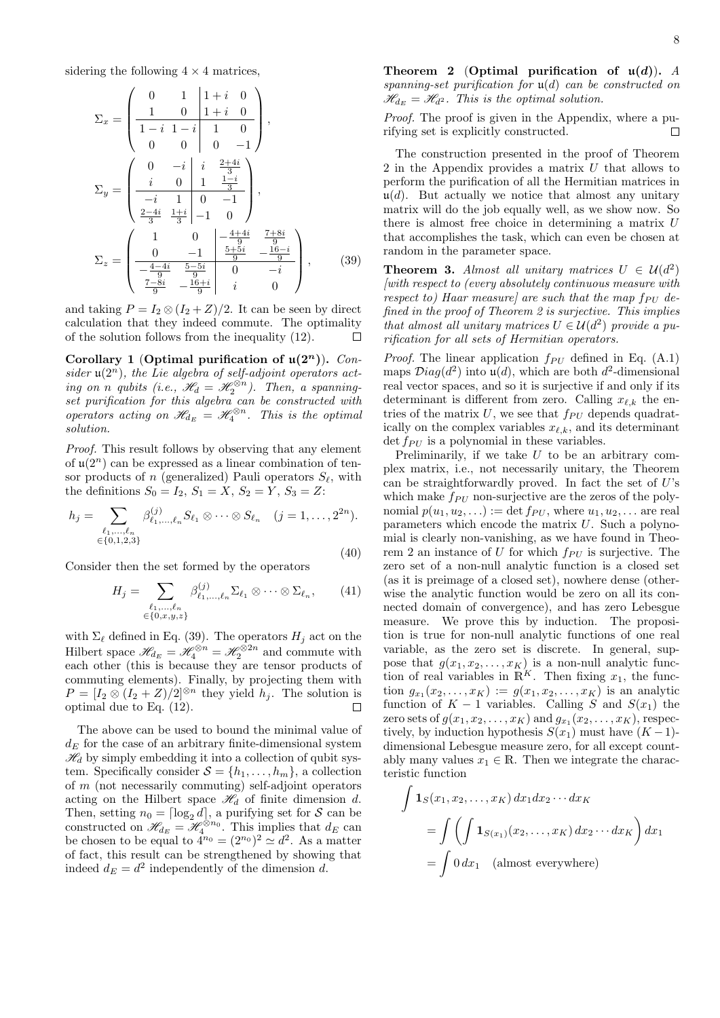sidering the following  $4 \times 4$  matrices,

$$
\Sigma_x = \begin{pmatrix}\n0 & 1 & 1+i & 0 \\
1 & 0 & 1+i & 0 \\
\hline\n1-i & 1-i & 1 & 0 \\
0 & 0 & 0 & -1\n\end{pmatrix},
$$
\n
$$
\Sigma_y = \begin{pmatrix}\n0 & -i & i & \frac{2+4i}{3} \\
i & 0 & 1 & \frac{1-i}{3} \\
-i & 1 & 0 & -1 \\
\frac{2-4i}{3} & \frac{1+i}{3} & -1 & 0\n\end{pmatrix},
$$
\n
$$
\Sigma_z = \begin{pmatrix}\n1 & 0 & -\frac{4+4i}{9} & \frac{7+8i}{9} \\
0 & -1 & \frac{5+5i}{9} & -\frac{16-i}{9} \\
\frac{-4-4i}{9} & \frac{5-5i}{9} & 0 & -i \\
\frac{7-8i}{9} & -\frac{16+i}{9} & i & 0\n\end{pmatrix},
$$
\n(39)

and taking  $P = I_2 \otimes (I_2 + Z)/2$ . It can be seen by direct calculation that they indeed commute. The optimality of the solution follows from the inequality (12).  $\Box$ 

Corollary 1 (Optimal purification of  $\mathfrak{u}(2^n)$ ). Consider  $\mathfrak{u}(2^n)$ , the Lie algebra of self-adjoint operators acting on n qubits (i.e.,  $\mathscr{H}_d = \mathscr{H}_2^{\otimes n}$ ). Then, a spanningset purification for this algebra can be constructed with operators acting on  $\mathscr{H}_{d_E} = \mathscr{H}_4^{\otimes n}$ . This is the optimal solution.

Proof. This result follows by observing that any element of  $\mathfrak{u}(2^n)$  can be expressed as a linear combination of tensor products of n (generalized) Pauli operators  $S_{\ell}$ , with the definitions  $S_0 = I_2, S_1 = X, S_2 = Y, S_3 = Z$ :

$$
h_j = \sum_{\substack{\ell_1, \dots, \ell_n \\ \in \{0, 1, 2, 3\}}} \beta_{\ell_1, \dots, \ell_n}^{(j)} S_{\ell_1} \otimes \dots \otimes S_{\ell_n} \quad (j = 1, \dots, 2^{2n}).
$$
\n(40)

Consider then the set formed by the operators

$$
H_j = \sum_{\substack{\ell_1,\ldots,\ell_n \\ \in \{0,x,y,z\}}} \beta_{\ell_1,\ldots,\ell_n}^{(j)} \Sigma_{\ell_1} \otimes \cdots \otimes \Sigma_{\ell_n},\qquad(41)
$$

with  $\Sigma_{\ell}$  defined in Eq. (39). The operators  $H_j$  act on the Hilbert space  $\mathscr{H}_{d_E} = \mathscr{H}_{4}^{\otimes n} = \mathscr{H}_{2}^{\otimes 2n}$  and commute with each other (this is because they are tensor products of commuting elements). Finally, by projecting them with  $P = [I_2 \otimes (I_2 + Z)/2]^{\otimes n}$  they yield  $h_i$ . The solution is optimal due to Eq. (12).  $\Box$ 

The above can be used to bound the minimal value of  $d_E$  for the case of an arbitrary finite-dimensional system  $\mathcal{H}_d$  by simply embedding it into a collection of qubit system. Specifically consider  $S = \{h_1, \ldots, h_m\}$ , a collection of m (not necessarily commuting) self-adjoint operators acting on the Hilbert space  $\mathcal{H}_d$  of finite dimension d. Then, setting  $n_0 = \lfloor \log_2 d \rfloor$ , a purifying set for S can be constructed on  $\mathscr{H}_{d_E} = \mathscr{H}_4^{\otimes n_0}$ . This implies that  $d_E$  can be chosen to be equal to  $4^{n_0} = (2^{n_0})^2 \simeq d^2$ . As a matter of fact, this result can be strengthened by showing that indeed  $d_E = d^2$  independently of the dimension d.

Theorem 2 (Optimal purification of  $\mathfrak{u}(d)$ ). A spanning-set purification for  $\mathfrak{u}(d)$  can be constructed on  $\mathcal{H}_{d_{E}} = \mathcal{H}_{d^2}$ . This is the optimal solution.

Proof. The proof is given in the Appendix, where a purifying set is explicitly constructed.  $\Box$ 

The construction presented in the proof of Theorem 2 in the Appendix provides a matrix U that allows to perform the purification of all the Hermitian matrices in  $\mathfrak{u}(d)$ . But actually we notice that almost any unitary matrix will do the job equally well, as we show now. So there is almost free choice in determining a matrix U that accomplishes the task, which can even be chosen at random in the parameter space.

**Theorem 3.** Almost all unitary matrices  $U \in \mathcal{U}(d^2)$ [with respect to (every absolutely continuous measure with respect to) Haar measure] are such that the map  $f_{PU}$  defined in the proof of Theorem 2 is surjective. This implies that almost all unitary matrices  $U \in \mathcal{U}(d^2)$  provide a purification for all sets of Hermitian operators.

*Proof.* The linear application  $f_{PU}$  defined in Eq. (A.1) maps  $Diag(d^2)$  into  $\mathfrak{u}(d)$ , which are both  $d^2$ -dimensional real vector spaces, and so it is surjective if and only if its determinant is different from zero. Calling  $x_{\ell,k}$  the entries of the matrix  $U$ , we see that  $f_{PU}$  depends quadratically on the complex variables  $x_{\ell,k}$ , and its determinant det  $f_{PU}$  is a polynomial in these variables.

Preliminarily, if we take  $U$  to be an arbitrary complex matrix, i.e., not necessarily unitary, the Theorem can be straightforwardly proved. In fact the set of  $U$ 's which make  $f_{PI}$  non-surjective are the zeros of the polynomial  $p(u_1, u_2, \ldots) := \det f_{PU}$ , where  $u_1, u_2, \ldots$  are real parameters which encode the matrix  $U$ . Such a polynomial is clearly non-vanishing, as we have found in Theorem 2 an instance of U for which  $f_{PI}$  is surjective. The zero set of a non-null analytic function is a closed set (as it is preimage of a closed set), nowhere dense (otherwise the analytic function would be zero on all its connected domain of convergence), and has zero Lebesgue measure. We prove this by induction. The proposition is true for non-null analytic functions of one real variable, as the zero set is discrete. In general, suppose that  $g(x_1, x_2, \ldots, x_K)$  is a non-null analytic function of real variables in  $\mathbb{R}^K$ . Then fixing  $x_1$ , the function  $g_{x_1}(x_2,...,x_K) := g(x_1, x_2,...,x_K)$  is an analytic function of  $K - 1$  variables. Calling S and  $S(x_1)$  the zero sets of  $g(x_1, x_2, \ldots, x_K)$  and  $g_{x_1}(x_2, \ldots, x_K)$ , respectively, by induction hypothesis  $S(x_1)$  must have  $(K-1)$ dimensional Lebesgue measure zero, for all except countably many values  $x_1 \in \mathbb{R}$ . Then we integrate the characteristic function

$$
\int \mathbf{1}_S(x_1, x_2, \dots, x_K) dx_1 dx_2 \cdots dx_K
$$

$$
= \int \left( \int \mathbf{1}_{S(x_1)}(x_2, \dots, x_K) dx_2 \cdots dx_K \right) dx_1
$$

$$
= \int 0 dx_1 \quad \text{(almost everywhere)}
$$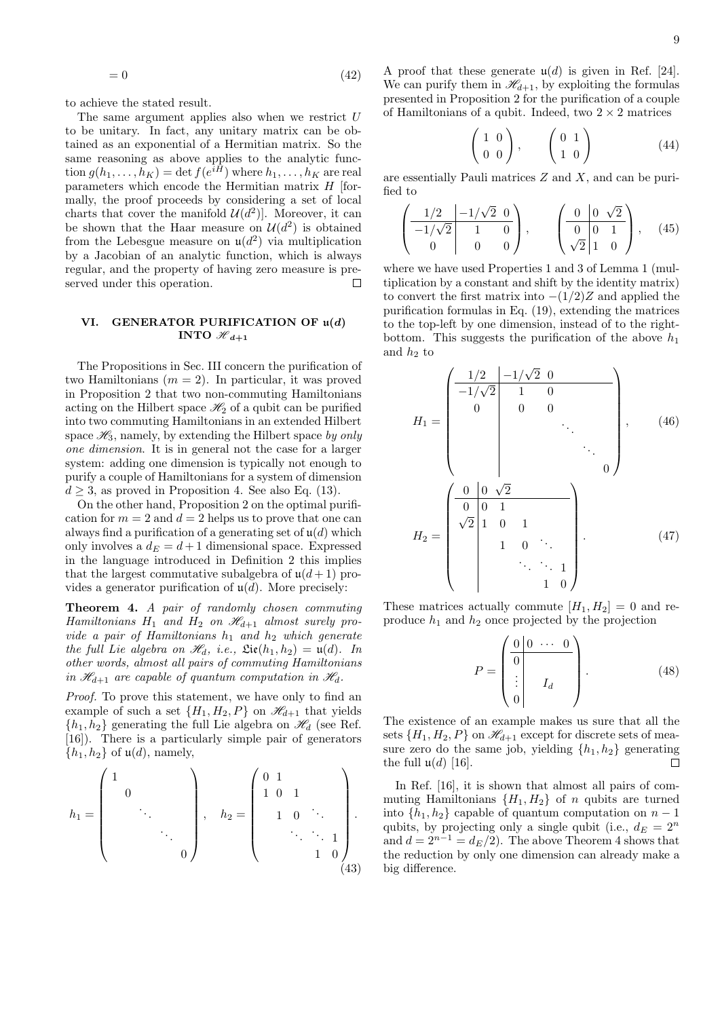$$
=0\tag{42}
$$

to achieve the stated result.

The same argument applies also when we restrict  $U$ to be unitary. In fact, any unitary matrix can be obtained as an exponential of a Hermitian matrix. So the same reasoning as above applies to the analytic function  $g(h_1, \ldots, h_K) = \det f(e^{iH})$  where  $h_1, \ldots, h_K$  are real parameters which encode the Hermitian matrix  $H$  [formally, the proof proceeds by considering a set of local charts that cover the manifold  $\mathcal{U}(d^2)$ . Moreover, it can be shown that the Haar measure on  $\mathcal{U}(d^2)$  is obtained from the Lebesgue measure on  $\mathfrak{u}(d^2)$  via multiplication by a Jacobian of an analytic function, which is always regular, and the property of having zero measure is preserved under this operation. П

### VI. GENERATOR PURIFICATION OF  $\mathfrak{u}(d)$ INTO  $\mathcal{H}_{d+1}$

The Propositions in Sec. III concern the purification of two Hamiltonians  $(m = 2)$ . In particular, it was proved in Proposition 2 that two non-commuting Hamiltonians acting on the Hilbert space  $\mathcal{H}_2$  of a qubit can be purified into two commuting Hamiltonians in an extended Hilbert space  $\mathscr{H}_3$ , namely, by extending the Hilbert space by only one dimension. It is in general not the case for a larger system: adding one dimension is typically not enough to purify a couple of Hamiltonians for a system of dimension  $d \geq 3$ , as proved in Proposition 4. See also Eq. (13).

On the other hand, Proposition 2 on the optimal purification for  $m = 2$  and  $d = 2$  helps us to prove that one can always find a purification of a generating set of  $\mathfrak{u}(d)$  which only involves a  $d_E = d + 1$  dimensional space. Expressed in the language introduced in Definition 2 this implies that the largest commutative subalgebra of  $\mathfrak{u}(d+1)$  provides a generator purification of  $\mathfrak{u}(d)$ . More precisely:

Theorem 4. A pair of randomly chosen commuting Hamiltonians  $H_1$  and  $H_2$  on  $\mathcal{H}_{d+1}$  almost surely provide a pair of Hamiltonians  $h_1$  and  $h_2$  which generate the full Lie algebra on  $\mathcal{H}_d$ , i.e.,  $\mathfrak{Lie}(h_1, h_2) = \mathfrak{u}(d)$ . In other words, almost all pairs of commuting Hamiltonians in  $\mathcal{H}_{d+1}$  are capable of quantum computation in  $\mathcal{H}_d$ .

Proof. To prove this statement, we have only to find an example of such a set  $\{H_1, H_2, P\}$  on  $\mathcal{H}_{d+1}$  that yields  $\{h_1, h_2\}$  generating the full Lie algebra on  $\mathcal{H}_d$  (see Ref. [16]). There is a particularly simple pair of generators  $\{h_1, h_2\}$  of  $\mathfrak{u}(d)$ , namely,

$$
h_1 = \begin{pmatrix} 1 & & & \\ & 0 & & & \\ & & \ddots & & \\ & & & 0 \end{pmatrix}, \quad h_2 = \begin{pmatrix} 0 & 1 & & & \\ 1 & 0 & 1 & & \\ & 1 & 0 & \ddots & \\ & & & \ddots & \ddots & 1 \\ & & & & 1 & 0 \end{pmatrix} . \tag{43}
$$

A proof that these generate  $\mathfrak{u}(d)$  is given in Ref. [24]. We can purify them in  $\mathcal{H}_{d+1}$ , by exploiting the formulas presented in Proposition 2 for the purification of a couple of Hamiltonians of a qubit. Indeed, two  $2 \times 2$  matrices

$$
\left(\begin{array}{cc} 1 & 0 \\ 0 & 0 \end{array}\right), \qquad \left(\begin{array}{cc} 0 & 1 \\ 1 & 0 \end{array}\right) \tag{44}
$$

are essentially Pauli matrices  $Z$  and  $X$ , and can be purified to

$$
\left(\begin{array}{c|c}1/2 & -1/\sqrt{2} & 0\\ \hline -1/\sqrt{2} & 1 & 0\\ 0 & 0 & 0\end{array}\right), \quad \left(\begin{array}{c|c}0 & 0 & \sqrt{2}\\ \hline 0 & 0 & 1\\ \sqrt{2} & 1 & 0\end{array}\right), (45)
$$

where we have used Properties 1 and 3 of Lemma 1 (multiplication by a constant and shift by the identity matrix) to convert the first matrix into  $-(1/2)Z$  and applied the purification formulas in Eq. (19), extending the matrices to the top-left by one dimension, instead of to the rightbottom. This suggests the purification of the above  $h_1$ and  $h_2$  to

$$
H_{1} = \begin{pmatrix} \frac{1}{2} & -\frac{1}{\sqrt{2}} & 0 & & & \\ -\frac{1}{\sqrt{2}} & 1 & 0 & & & \\ & 0 & 0 & 0 & & \\ & & & \ddots & & \\ & & & & \ddots & \\ & & & & & \ddots \\ & & & & & & 0 \end{pmatrix}, \qquad (46)
$$

$$
H_{2} = \begin{pmatrix} 0 & 0 & \sqrt{2} & & & \\ 0 & 0 & 1 & & & \\ \sqrt{2} & 1 & 0 & 1 & & \\ & & 1 & 0 & \ddots & \\ & & & & & \ddots & 1 \\ & & & & & 1 & 0 \end{pmatrix}, \qquad (47)
$$

These matrices actually commute  $[H_1, H_2] = 0$  and reproduce  $h_1$  and  $h_2$  once projected by the projection

$$
P = \begin{pmatrix} 0 & 0 & \cdots & 0 \\ 0 & & & \\ \vdots & & & \\ 0 & & & \end{pmatrix} . \tag{48}
$$

The existence of an example makes us sure that all the sets  $\{H_1, H_2, P\}$  on  $\mathcal{H}_{d+1}$  except for discrete sets of measure zero do the same job, yielding  $\{h_1, h_2\}$  generating the full  $\mathfrak{u}(d)$  [16].  $\Box$ 

In Ref. [16], it is shown that almost all pairs of commuting Hamiltonians  $\{H_1, H_2\}$  of *n* qubits are turned into  $\{h_1, h_2\}$  capable of quantum computation on  $n-1$ qubits, by projecting only a single qubit (i.e.,  $d_E = 2^n$ ) and  $d = 2^{n-1} = d_E/2$ . The above Theorem 4 shows that the reduction by only one dimension can already make a big difference.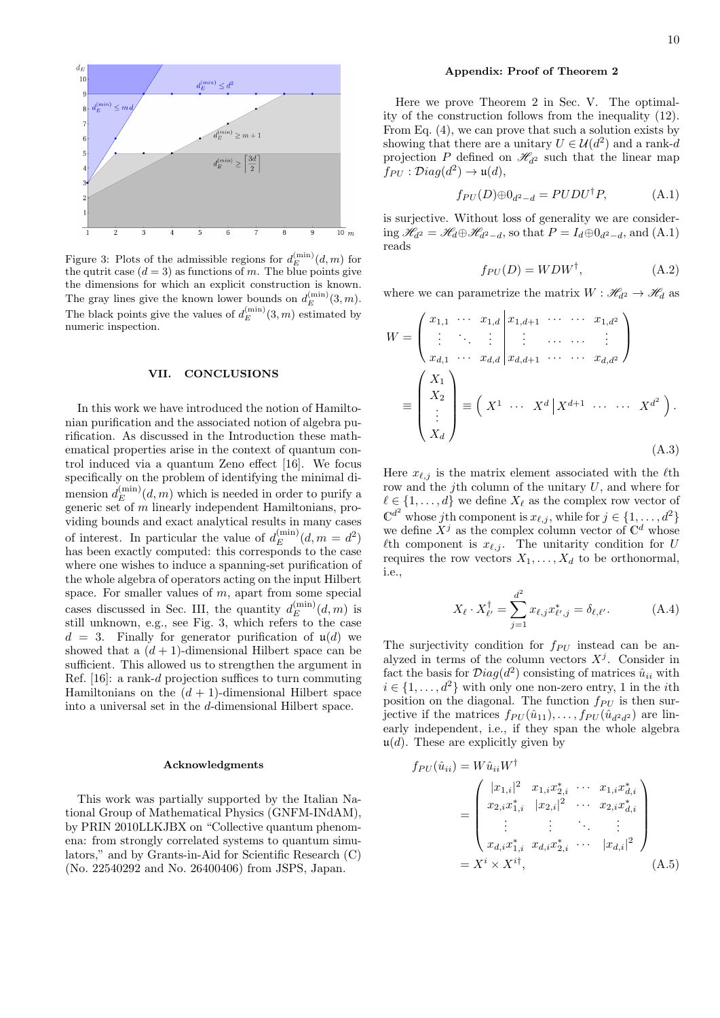

Figure 3: Plots of the admissible regions for  $d_E^{(\min)}(d,m)$  for the qutrit case  $(d = 3)$  as functions of m. The blue points give the dimensions for which an explicit construction is known. The gray lines give the known lower bounds on  $d_E^{(\min)}(3,m)$ . The black points give the values of  $d_E^{(\min)}(3, m)$  estimated by numeric inspection.

#### VII. CONCLUSIONS

In this work we have introduced the notion of Hamiltonian purification and the associated notion of algebra purification. As discussed in the Introduction these mathematical properties arise in the context of quantum control induced via a quantum Zeno effect [16]. We focus specifically on the problem of identifying the minimal dimension  $d_E^{\text{(min)}}$  $E(E^{(mn)}(d,m))$  which is needed in order to purify a generic set of  $m$  linearly independent Hamiltonians, providing bounds and exact analytical results in many cases of interest. In particular the value of  $d_E^{(\text{min})}$  $E(E^{(\min)}(d,m=d^2))$ has been exactly computed: this corresponds to the case where one wishes to induce a spanning-set purification of the whole algebra of operators acting on the input Hilbert space. For smaller values of  $m$ , apart from some special cases discussed in Sec. III, the quantity  $d_E^{(\text{min})}$  $E^{(\text{mm})}(d,m)$  is still unknown, e.g., see Fig. 3, which refers to the case  $d = 3$ . Finally for generator purification of  $\mathfrak{u}(d)$  we showed that a  $(d + 1)$ -dimensional Hilbert space can be sufficient. This allowed us to strengthen the argument in Ref. [16]: a rank-d projection suffices to turn commuting Hamiltonians on the  $(d + 1)$ -dimensional Hilbert space into a universal set in the d-dimensional Hilbert space.

### Acknowledgments

This work was partially supported by the Italian National Group of Mathematical Physics (GNFM-INdAM), by PRIN 2010LLKJBX on "Collective quantum phenomena: from strongly correlated systems to quantum simulators," and by Grants-in-Aid for Scientific Research (C) (No. 22540292 and No. 26400406) from JSPS, Japan.

### Appendix: Proof of Theorem 2

Here we prove Theorem 2 in Sec. V. The optimality of the construction follows from the inequality (12). From Eq. (4), we can prove that such a solution exists by showing that there are a unitary  $U \in \mathcal{U}(d^2)$  and a rank-d projection P defined on  $\mathcal{H}_{d^2}$  such that the linear map  $f_{PU} : Diag(d^2) \rightarrow \mathfrak{u}(d),$ 

$$
f_{PU}(D) \oplus 0_{d^2-d} = PUDU^{\dagger}P, \tag{A.1}
$$

is surjective. Without loss of generality we are considering  $\mathcal{H}_{d^2} = \mathcal{H}_d \oplus \mathcal{H}_{d^2-d}$ , so that  $P = I_d \oplus 0_{d^2-d}$ , and (A.1) reads

$$
f_{PU}(D) = WDW^{\dagger},\tag{A.2}
$$

where we can parametrize the matrix  $W : \mathcal{H}_{d} \to \mathcal{H}_{d}$  as

$$
W = \begin{pmatrix} x_{1,1} & \cdots & x_{1,d} & x_{1,d+1} & \cdots & \cdots & x_{1,d^2} \\ \vdots & \ddots & \vdots & \vdots & \cdots & \cdots & \vdots \\ x_{d,1} & \cdots & x_{d,d} & x_{d,d+1} & \cdots & \cdots & x_{d,d^2} \end{pmatrix}
$$
  
= 
$$
\begin{pmatrix} X_1 \\ X_2 \\ \vdots \\ X_d \end{pmatrix} \equiv \left( X^1 \cdots X^d \middle| X^{d+1} \cdots \cdots X^{d^2} \right).
$$
 (A.3)

Here  $x_{\ell,j}$  is the matrix element associated with the  $\ell$ th row and the j<sup>th</sup> column of the unitary  $U$ , and where for  $\ell \in \{1, \ldots, d\}$  we define  $X_{\ell}$  as the complex row vector of  $\mathbb{C}^{d^2}$  whose jth component is  $x_{\ell,j}$ , while for  $j \in \{1, ..., d^2\}$ we define  $X^j$  as the complex column vector of  $\mathbb{C}^d$  whose  $\ell$ th component is  $x_{\ell,j}$ . The unitarity condition for U requires the row vectors  $X_1, \ldots, X_d$  to be orthonormal, i.e.,

$$
X_{\ell} \cdot X_{\ell'}^{\dagger} = \sum_{j=1}^{d^2} x_{\ell,j} x_{\ell',j}^* = \delta_{\ell,\ell'}.
$$
 (A.4)

The surjectivity condition for  $f_{PU}$  instead can be analyzed in terms of the column vectors  $X^j$ . Consider in fact the basis for  $Diag(d^2)$  consisting of matrices  $\hat{u}_{ii}$  with  $i \in \{1, \ldots, d^2\}$  with only one non-zero entry, 1 in the *i*th position on the diagonal. The function  $f_{PU}$  is then surjective if the matrices  $f_{PU}(\hat{u}_{11}), \ldots, f_{PU}(\hat{u}_{d^2d^2})$  are linearly independent, i.e., if they span the whole algebra  $\mathfrak{u}(d)$ . These are explicitly given by

$$
f_{PU}(\hat{u}_{ii}) = W \hat{u}_{ii} W^{\dagger}
$$
  
= 
$$
\begin{pmatrix} |x_{1,i}|^2 & x_{1,i} x_{2,i}^* & \cdots & x_{1,i} x_{d,i}^* \\ x_{2,i} x_{1,i}^* & |x_{2,i}|^2 & \cdots & x_{2,i} x_{d,i}^* \\ \vdots & \vdots & \ddots & \vdots \\ x_{d,i} x_{1,i}^* & x_{d,i} x_{2,i}^* & \cdots & |x_{d,i}|^2 \end{pmatrix}
$$
  
=  $X^i \times X^{i\dagger}$ , (A.5)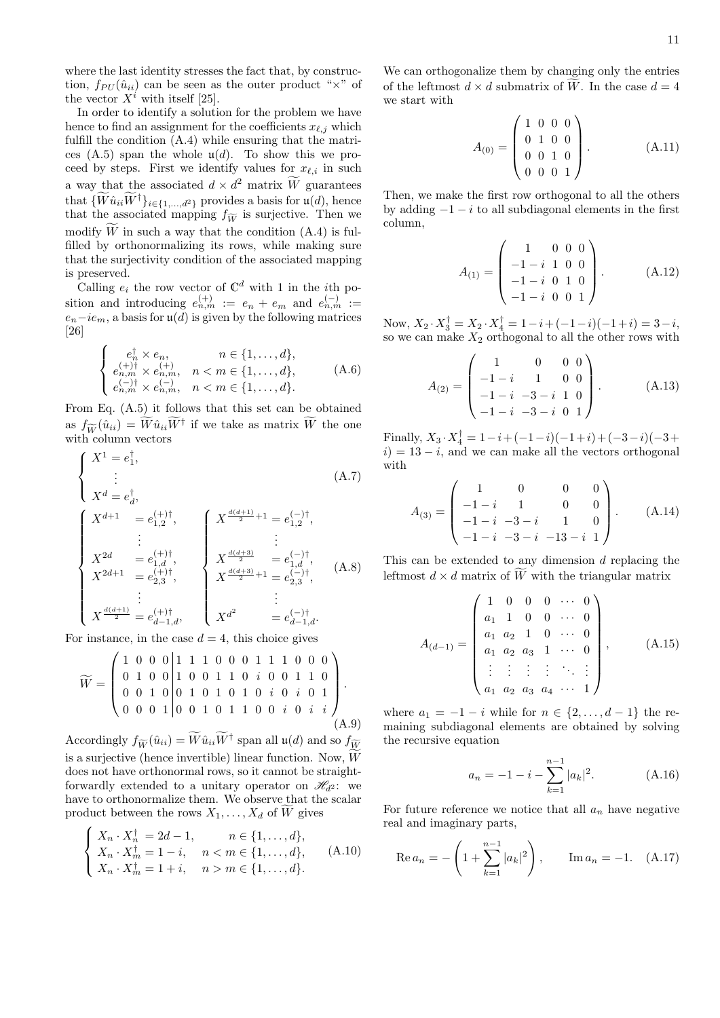where the last identity stresses the fact that, by construction,  $f_{PU}(\hat{u}_{ii})$  can be seen as the outer product " $\times$ " of the vector  $X^i$  with itself [25].

In order to identify a solution for the problem we have hence to find an assignment for the coefficients  $x_{\ell,j}$  which fulfill the condition (A.4) while ensuring that the matrices  $(A.5)$  span the whole  $\mathfrak{u}(d)$ . To show this we proceed by steps. First we identify values for  $x_{\ell,i}$  in such a way that the associated  $d \times d^2$  matrix W guarantees that  $\{\widetilde{W}\hat{u}_{ii}\widetilde{W}^{\dagger}\}_{i\in\{1,\ldots,d^2\}}$  provides a basis for  $\mathfrak{u}(d)$ , hence that the associated mapping  $f_{\widetilde{W}}$  is surjective. Then we modify  $\widetilde{W}$  in such a way that the condition (A.4) is fulfilled by orthonormalizing its rows, while making sure that the surjectivity condition of the associated mapping is preserved.

Calling  $e_i$  the row vector of  $\mathbb{C}^d$  with 1 in the *i*th position and introducing  $e_{n,m}^{(+)} := e_n + e_m$  and  $e_{n,m}^{(-)} :=$  $e_n - ie_m$ , a basis for  $\mathfrak{u}(d)$  is given by the following matrices [26]

$$
\begin{cases}\n e_n^{\dagger} \times e_n, & n \in \{1, ..., d\}, \\
 e_{n,m}^{(+) \dagger} \times e_{n,m}^{(+)}, & n < m \in \{1, ..., d\}, \\
 e_{n,m}^{(-) \dagger} \times e_{n,m}^{(-)}, & n < m \in \{1, ..., d\}.\n\end{cases} (A.6)
$$

From Eq. (A.5) it follows that this set can be obtained as  $f_{\widetilde{W}}(\hat{u}_{ii}) = W \hat{u}_{ii} W^{\dagger}$  if we take as matrix W the one<br>with column vectors with column vectors

$$
\begin{cases}\nX^{1} = e_{1}^{\dagger}, & (A.7) \\
\vdots & (A.7) \\
X^{d} = e_{d}^{\dagger}, \\
\vdots & \vdots \\
X^{2d} = e_{1,d}^{(+)\dagger}, \\
X^{2d+1} = e_{2,3}^{(+)\dagger}, \\
\vdots & \vdots \\
X^{\frac{d(d+3)}{2}} = e_{1,d}^{(-)\dagger}, \\
\vdots & \vdots \\
X^{\frac{d(d+3)}{2}} = e_{1,d}^{(-)\dagger}, \\
X^{d(2+1)} = e_{2,3}^{(+)\dagger}, \\
\vdots & \vdots \\
X^{d^{2}} = e_{d-1,d}^{(-)\dagger}.\n\end{cases}
$$
\n(A.8)

For instance, in the case  $d = 4$ , this choice gives

 $\overline{ }$ 

<sup>W</sup><sup>f</sup> <sup>=</sup> 1 0 0 0 1 1 1 0 0 0 1 1 1 0 0 0 0 1 0 0 1 0 0 1 1 0 i 0 0 1 1 0 0 0 1 0 0 1 0 1 0 1 0 i 0 i 0 1 0 0 0 1 0 0 1 0 1 1 0 0 i 0 i i . (A.9)

Accordingly  $f_{\widetilde{W}}(\hat{u}_{ii}) = W \hat{u}_{ii} W^{\dagger}$  span all  $\mathfrak{u}(d)$  and so  $f_{\widetilde{W}}$ is a surjective (hence invertible) linear function. Now,  $\widetilde{W}$ does not have orthonormal rows, so it cannot be straightforwardly extended to a unitary operator on  $\mathcal{H}_{d^2}$ : we have to orthonormalize them. We observe that the scalar product between the rows  $X_1, \ldots, X_d$  of  $\widetilde{W}$  gives

$$
\begin{cases} X_n \cdot X_n^{\dagger} = 2d - 1, & n \in \{1, ..., d\}, \\ X_n \cdot X_m^{\dagger} = 1 - i, & n < m \in \{1, ..., d\}, \\ X_n \cdot X_m^{\dagger} = 1 + i, & n > m \in \{1, ..., d\}. \end{cases}
$$
 (A.10)

We can orthogonalize them by changing only the entries of the leftmost  $d \times d$  submatrix of W. In the case  $d = 4$ we start with

$$
A_{(0)} = \begin{pmatrix} 1 & 0 & 0 & 0 \\ 0 & 1 & 0 & 0 \\ 0 & 0 & 1 & 0 \\ 0 & 0 & 0 & 1 \end{pmatrix} .
$$
 (A.11)

Then, we make the first row orthogonal to all the others by adding  $-1 - i$  to all subdiagonal elements in the first column,

$$
A_{(1)} = \begin{pmatrix} 1 & 0 & 0 & 0 \\ -1 - i & 1 & 0 & 0 \\ -1 - i & 0 & 1 & 0 \\ -1 - i & 0 & 0 & 1 \end{pmatrix} .
$$
 (A.12)

Now,  $X_2 \cdot X_3^{\dagger} = X_2 \cdot X_4^{\dagger} = 1 - i + (-1 - i)(-1 + i) = 3 - i$ , so we can make  $X_2$  orthogonal to all the other rows with

$$
A_{(2)} = \begin{pmatrix} 1 & 0 & 0 & 0 \\ -1 - i & 1 & 0 & 0 \\ -1 - i & -3 - i & 1 & 0 \\ -1 - i & -3 - i & 0 & 1 \end{pmatrix}.
$$
 (A.13)

Finally,  $X_3 \cdot X_4^{\dagger} = 1 - i + (-1 - i)(-1 + i) + (-3 - i)(-3 +$  $i) = 13 - i$ , and we can make all the vectors orthogonal with

$$
A_{(3)} = \begin{pmatrix} 1 & 0 & 0 & 0 \\ -1 - i & 1 & 0 & 0 \\ -1 - i & -3 - i & 1 & 0 \\ -1 - i & -3 - i & -13 - i & 1 \end{pmatrix}.
$$
 (A.14)

This can be extended to any dimension  $d$  replacing the leftmost  $d \times d$  matrix of  $\widetilde{W}$  with the triangular matrix

$$
A_{(d-1)} = \begin{pmatrix} 1 & 0 & 0 & 0 & \cdots & 0 \\ a_1 & 1 & 0 & 0 & \cdots & 0 \\ a_1 & a_2 & 1 & 0 & \cdots & 0 \\ a_1 & a_2 & a_3 & 1 & \cdots & 0 \\ \vdots & \vdots & \vdots & \vdots & \ddots & \vdots \\ a_1 & a_2 & a_3 & a_4 & \cdots & 1 \end{pmatrix}, \quad (A.15)
$$

where  $a_1 = -1 - i$  while for  $n \in \{2, \ldots, d-1\}$  the remaining subdiagonal elements are obtained by solving the recursive equation

$$
a_n = -1 - i - \sum_{k=1}^{n-1} |a_k|^2.
$$
 (A.16)

For future reference we notice that all  $a_n$  have negative real and imaginary parts,

Re 
$$
a_n = -\left(1 + \sum_{k=1}^{n-1} |a_k|^2\right)
$$
, Im  $a_n = -1$ . (A.17)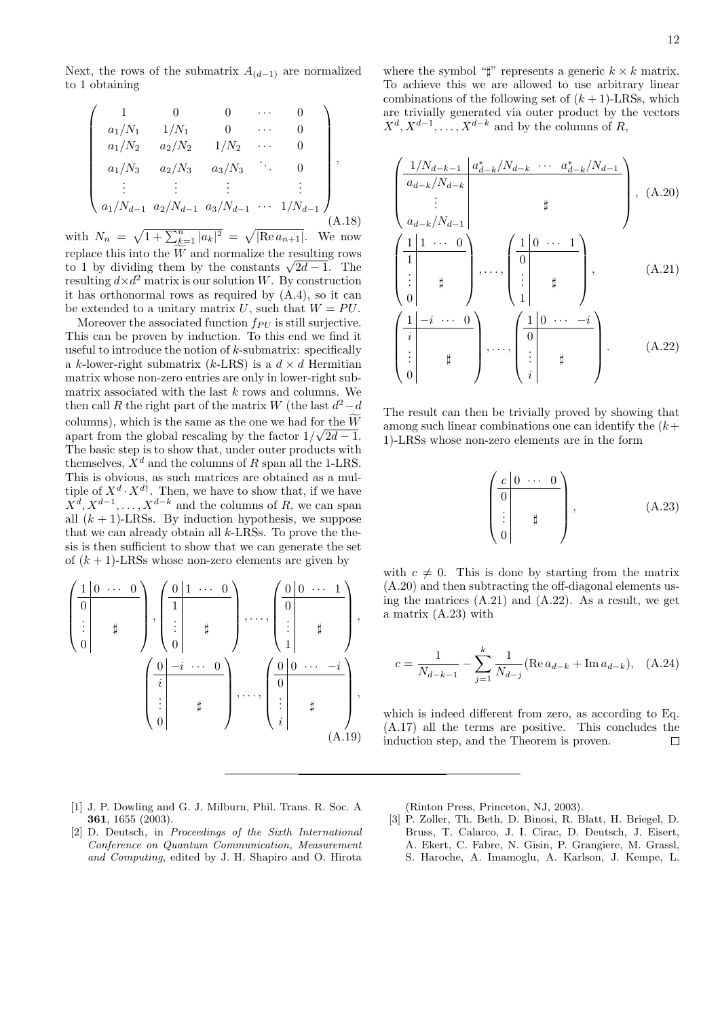Next, the rows of the submatrix  $A_{(d-1)}$  are normalized to 1 obtaining

$$
\begin{pmatrix}\n1 & 0 & 0 & \cdots & 0 \\
a_1/N_1 & 1/N_1 & 0 & \cdots & 0 \\
a_1/N_2 & a_2/N_2 & 1/N_2 & \cdots & 0 \\
a_1/N_3 & a_2/N_3 & a_3/N_3 & \cdots & 0 \\
\vdots & \vdots & \vdots & \vdots & \vdots \\
a_1/N_{d-1} & a_2/N_{d-1} & a_3/N_{d-1} & \cdots & 1/N_{d-1}\n\end{pmatrix},
$$
\n(A.18)

with  $N_n = \sqrt{1 + \sum_{k=1}^n |a_k|^2} = \sqrt{|\text{Re } a_{n+1}|}$ . We now replace this into the  $W$  and normalize the resulting rows replace this into the *W* and normalize the resulting rows<br>to 1 by dividing them by the constants  $\sqrt{2d-1}$ . The resulting  $d \times d^2$  matrix is our solution W. By construction it has orthonormal rows as required by (A.4), so it can be extended to a unitary matrix U, such that  $W = PU$ .

Moreover the associated function  $f_{PU}$  is still surjective. This can be proven by induction. To this end we find it useful to introduce the notion of  $k$ -submatrix: specifically a k-lower-right submatrix (k-LRS) is a  $d \times d$  Hermitian matrix whose non-zero entries are only in lower-right submatrix associated with the last  $k$  rows and columns. We then call R the right part of the matrix W (the last  $d^2-d$ columns), which is the same as the one we had for the W apart from the global rescaling by the factor  $1/\sqrt{2d-1}$ . The basic step is to show that, under outer products with themselves,  $X^d$  and the columns of R span all the 1-LRS. This is obvious, as such matrices are obtained as a multiple of  $X^d \cdot X^{d\dagger}$ . Then, we have to show that, if we have  $X^d, X^{d-1}, \ldots, X^{d-k}$  and the columns of R, we can span all  $(k + 1)$ -LRSs. By induction hypothesis, we suppose that we can already obtain all k-LRSs. To prove the thesis is then sufficient to show that we can generate the set of  $(k + 1)$ -LRSs whose non-zero elements are given by

$$
\begin{pmatrix}\n1 & 0 & \cdots & 0 \\
0 & & & \\
\vdots & & \sharp & \\
0 & & & \n\end{pmatrix}, \begin{pmatrix}\n0 & 1 & \cdots & 0 \\
1 & & & \\
\vdots & & \sharp & \\
0 & & & \n\end{pmatrix}, \dots, \begin{pmatrix}\n0 & 0 & \cdots & 1 \\
0 & & & \\
\vdots & & \sharp & \\
1 & & & \n\end{pmatrix}, \\
\begin{pmatrix}\n0 & -i & \cdots & 0 \\
i & & & \\
\vdots & & \sharp & \\
0 & & & \n\end{pmatrix}, \dots, \begin{pmatrix}\n0 & 0 & \cdots & -i \\
0 & & & \\
\vdots & & \sharp & \\
i & & & \n\end{pmatrix}, \dots, \begin{pmatrix}\n0 & 0 & \cdots & -i \\
0 & & & \\
\vdots & & \sharp & \\
i & & & \n\end{pmatrix}, \tag{A.19}
$$

- [1] J. P. Dowling and G. J. Milburn, Phil. Trans. R. Soc. A 361, 1655 (2003).
- [2] D. Deutsch, in Proceedings of the Sixth International Conference on Quantum Communication, Measurement and Computing, edited by J. H. Shapiro and O. Hirota

where the symbol " $\sharp$ " represents a generic  $k \times k$  matrix. To achieve this we are allowed to use arbitrary linear combinations of the following set of  $(k + 1)$ -LRSs, which are trivially generated via outer product by the vectors  $X^d, X^{d-1}, \ldots, X^{d-k}$  and by the columns of R,

$$
\begin{pmatrix}\n\frac{1}{N_{d-k-1}} \left| \frac{a_{d-k}^*}{a_{d-k}} \frac{N_{d-k}}{N_{d-k}} \right| & \cdots & \frac{a_{d-k}^*}{N_{d-1}} \\
\vdots & \vdots & \vdots \\
\frac{a_{d-k}}{N_{d-1}} \left| & \frac{1}{N_{d-k}} \right| & \cdots & \frac{1}{N_{d-k}} \\
\frac{1}{N_{d-k}} \left| \frac{1 \cdots 0}{N_{d-k}} \right| & \cdots & \frac{1}{N_{d-k}} \left| \frac{1}{N_{d-k}} \right| & \cdots & \frac{1}{N_{d-k}} \\
\vdots & \vdots & \vdots & \vdots \\
\frac{1}{N_{d-k-1}} \left| \frac{1 \cdots 0}{N_{d-k}} \right| & \cdots & \frac{1}{N_{d-k}} \left| \frac{1 \cdots 0}{N_{d-k}} \right| & \cdots & \frac{1}{N_{d-k}} \\
\vdots & \vdots & \vdots & \ddots & \vdots \\
0 & \cdots & \frac{1}{N_{d-k}} \left| \frac{1 \cdots 0}{N_{d-k}} \right| & \cdots & \frac{1}{N_{d-k}} \left| \frac{1 \cdots 0}{N_{d-k}} \right| & \cdots & \frac{1}{N_{d-k}} \\
\vdots & \vdots & \vdots & \ddots & \vdots \\
0 & \cdots & \frac{1}{N_{d-k}} \left| \frac{1 \cdots 0}{N_{d-k}} \right| & \cdots & \frac{1}{N_{d-k}} \left| \frac{1 \cdots 0}{N_{d-k}} \right| & \cdots & \frac{1}{N_{d-k}} \\
\vdots & \vdots & \vdots & \ddots & \vdots \\
0 & \cdots & \frac{1}{N_{d-k}} \left| \frac{1 \cdots 0}{N_{d-k}} \right| & \cdots & \frac{1}{N_{d-k}} \left| \frac{1 \cdots 0}{N_{d-k}} \right| & \cdots & \frac{1}{N_{d-k}} \left| \frac{1 \cdots 0}{N_{d-k}} \right| & \cdots & \frac{1}{N_{d-k}} \left| \frac{1 \cdots 0}{N_{d-k}} \right| & \cdots & \frac{1}{N_{d-k}} \left| \frac{1 \cdots 0}{N_{d-k}} \right| & \cdots & \frac{1}{N_{d-k}} \left| \frac{1 \cd
$$

The result can then be trivially proved by showing that among such linear combinations one can identify the  $(k+$ 1)-LRSs whose non-zero elements are in the form

$$
\begin{pmatrix}\n\frac{c}{0} & \cdots & 0 \\
\vdots & & \vdots \\
0 & & \end{pmatrix}, \quad (A.23)
$$

with  $c \neq 0$ . This is done by starting from the matrix (A.20) and then subtracting the off-diagonal elements using the matrices (A.21) and (A.22). As a result, we get a matrix (A.23) with

$$
c = \frac{1}{N_{d-k-1}} - \sum_{j=1}^{k} \frac{1}{N_{d-j}} (\text{Re } a_{d-k} + \text{Im } a_{d-k}), \quad (A.24)
$$

which is indeed different from zero, as according to Eq. (A.17) all the terms are positive. This concludes the induction step, and the Theorem is proven.  $\Box$ 

(Rinton Press, Princeton, NJ, 2003).

[3] P. Zoller, Th. Beth, D. Binosi, R. Blatt, H. Briegel, D. Bruss, T. Calarco, J. I. Cirac, D. Deutsch, J. Eisert, A. Ekert, C. Fabre, N. Gisin, P. Grangiere, M. Grassl, S. Haroche, A. Imamoglu, A. Karlson, J. Kempe, L.